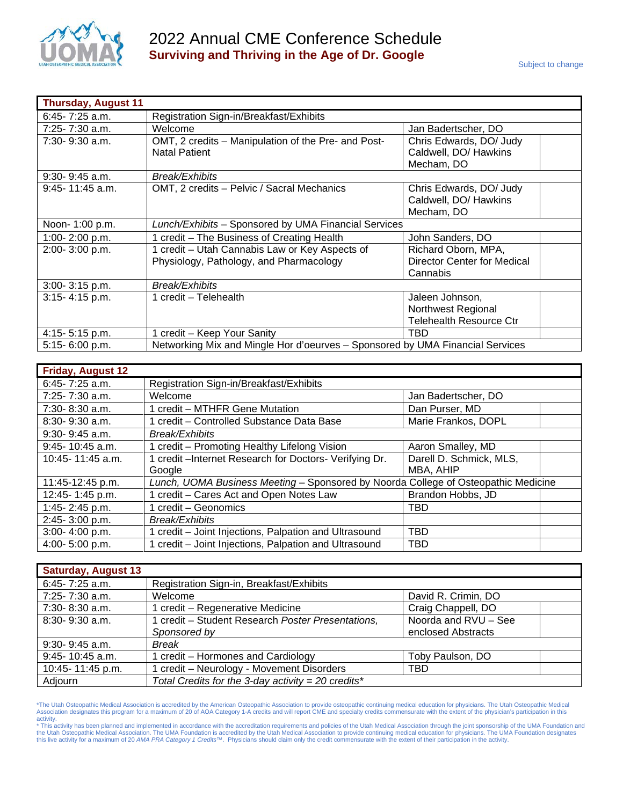

| <b>Thursday, August 11</b> |                                                                                           |                                                                         |  |
|----------------------------|-------------------------------------------------------------------------------------------|-------------------------------------------------------------------------|--|
| $6:45 - 7:25$ a.m.         | Registration Sign-in/Breakfast/Exhibits                                                   |                                                                         |  |
| $7:25 - 7:30$ a.m.         | Welcome                                                                                   | Jan Badertscher, DO                                                     |  |
| $7:30 - 9:30$ a.m.         | OMT, 2 credits - Manipulation of the Pre- and Post-<br><b>Natal Patient</b>               | Chris Edwards, DO/ Judy<br>Caldwell, DO/ Hawkins<br>Mecham, DO          |  |
| $9:30 - 9:45$ a.m.         | Break/Exhibits                                                                            |                                                                         |  |
| $9:45 - 11:45$ a.m.        | OMT, 2 credits - Pelvic / Sacral Mechanics                                                | Chris Edwards, DO/ Judy<br>Caldwell, DO/ Hawkins<br>Mecham, DO          |  |
| Noon- 1:00 p.m.            | Lunch/Exhibits - Sponsored by UMA Financial Services                                      |                                                                         |  |
| 1:00-2:00 p.m.             | 1 credit - The Business of Creating Health                                                | John Sanders, DO                                                        |  |
| 2:00-3:00 p.m.             | 1 credit - Utah Cannabis Law or Key Aspects of<br>Physiology, Pathology, and Pharmacology | Richard Oborn, MPA,<br>Director Center for Medical<br>Cannabis          |  |
| 3:00-3:15 p.m.             | <b>Break/Exhibits</b>                                                                     |                                                                         |  |
| 3:15-4:15 p.m.             | 1 credit - Telehealth                                                                     | Jaleen Johnson,<br>Northwest Regional<br><b>Telehealth Resource Ctr</b> |  |
| 4:15-5:15 p.m.             | 1 credit - Keep Your Sanity                                                               | TBD                                                                     |  |
| 5:15-6:00 p.m.             | Networking Mix and Mingle Hor d'oeurves - Sponsored by UMA Financial Services             |                                                                         |  |

| <b>Friday, August 12</b> |                                                                                    |                         |  |
|--------------------------|------------------------------------------------------------------------------------|-------------------------|--|
| $6:45 - 7:25$ a.m.       | Registration Sign-in/Breakfast/Exhibits                                            |                         |  |
| 7:25-7:30 a.m.           | Welcome                                                                            | Jan Badertscher, DO     |  |
| 7:30-8:30 a.m.           | 1 credit - MTHFR Gene Mutation                                                     | Dan Purser, MD          |  |
| $8:30 - 9:30$ a.m.       | 1 credit - Controlled Substance Data Base                                          | Marie Frankos, DOPL     |  |
| $9:30 - 9:45$ a.m.       | Break/Exhibits                                                                     |                         |  |
| $9:45 - 10:45$ a.m.      | 1 credit – Promoting Healthy Lifelong Vision                                       | Aaron Smalley, MD       |  |
| $10:45 - 11:45$ a.m.     | 1 credit - Internet Research for Doctors- Verifying Dr.                            | Darell D. Schmick, MLS, |  |
|                          | Google                                                                             | MBA, AHIP               |  |
| 11:45-12:45 p.m.         | Lunch, UOMA Business Meeting - Sponsored by Noorda College of Osteopathic Medicine |                         |  |
| 12:45-1:45 p.m.          | 1 credit - Cares Act and Open Notes Law                                            | Brandon Hobbs, JD       |  |
| 1:45-2:45 p.m.           | 1 credit – Geonomics                                                               | TBD                     |  |
| 2:45-3:00 p.m.           | Break/Exhibits                                                                     |                         |  |
| 3:00-4:00 p.m.           | 1 credit – Joint Injections, Palpation and Ultrasound                              | <b>TBD</b>              |  |
| 4:00-5:00 p.m.           | 1 credit - Joint Injections, Palpation and Ultrasound                              | <b>TBD</b>              |  |

| <b>Saturday, August 13</b> |                                                    |                      |
|----------------------------|----------------------------------------------------|----------------------|
| $6:45 - 7:25$ a.m.         | Registration Sign-in, Breakfast/Exhibits           |                      |
| 7:25-7:30 a.m.             | Welcome                                            | David R. Crimin, DO  |
| 7:30-8:30 a.m.             | 1 credit – Regenerative Medicine                   | Craig Chappell, DO   |
| $8:30 - 9:30$ a.m.         | 1 credit - Student Research Poster Presentations,  | Noorda and RVU - See |
|                            | Sponsored by                                       | enclosed Abstracts   |
| $9:30 - 9:45$ a.m.         | Break                                              |                      |
| 9:45-10:45 a.m.            | 1 credit – Hormones and Cardiology                 | Toby Paulson, DO     |
| 10:45-11:45 p.m.           | 1 credit - Neurology - Movement Disorders          | TBD                  |
| Adjourn                    | Total Credits for the 3-day activity = 20 credits* |                      |

\*The Utah Osteopathic Medical Association is accredited by the American Osteopathic Association to provide osteopathic continuing medical education for physicians. The Utah Osteopathic Medical<br>Association designates this p

activity.<br>\* This activity has been planned and implemented in accordance with the accreditation requirements and policies of the Utah Medical Association through the joint sponsorship of the UMA Foundation and<br>the Utah Os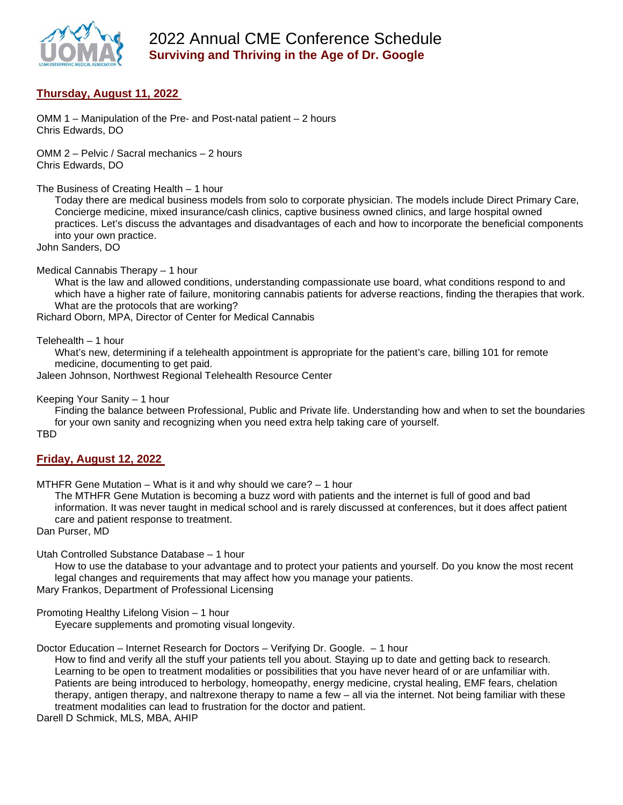

# 2022 Annual CME Conference Schedule **Surviving and Thriving in the Age of Dr. Google**

### **Thursday, August 11, 2022**

OMM 1 – Manipulation of the Pre- and Post-natal patient – 2 hours Chris Edwards, DO

OMM 2 – Pelvic / Sacral mechanics – 2 hours Chris Edwards, DO

The Business of Creating Health – 1 hour

Today there are medical business models from solo to corporate physician. The models include Direct Primary Care, Concierge medicine, mixed insurance/cash clinics, captive business owned clinics, and large hospital owned practices. Let's discuss the advantages and disadvantages of each and how to incorporate the beneficial components into your own practice.

John Sanders, DO

Medical Cannabis Therapy – 1 hour

What is the law and allowed conditions, understanding compassionate use board, what conditions respond to and which have a higher rate of failure, monitoring cannabis patients for adverse reactions, finding the therapies that work. What are the protocols that are working?

Richard Oborn, MPA, Director of Center for Medical Cannabis

Telehealth – 1 hour

What's new, determining if a telehealth appointment is appropriate for the patient's care, billing 101 for remote medicine, documenting to get paid.

Jaleen Johnson, Northwest Regional Telehealth Resource Center

Keeping Your Sanity – 1 hour

Finding the balance between Professional, Public and Private life. Understanding how and when to set the boundaries for your own sanity and recognizing when you need extra help taking care of yourself.

TBD

#### **Friday, August 12, 2022**

MTHFR Gene Mutation – What is it and why should we care? – 1 hour

The MTHFR Gene Mutation is becoming a buzz word with patients and the internet is full of good and bad information. It was never taught in medical school and is rarely discussed at conferences, but it does affect patient care and patient response to treatment.

Dan Purser, MD

Utah Controlled Substance Database – 1 hour

How to use the database to your advantage and to protect your patients and yourself. Do you know the most recent legal changes and requirements that may affect how you manage your patients.

Mary Frankos, Department of Professional Licensing

Promoting Healthy Lifelong Vision – 1 hour

Eyecare supplements and promoting visual longevity.

Doctor Education – Internet Research for Doctors – Verifying Dr. Google. – 1 hour

How to find and verify all the stuff your patients tell you about. Staying up to date and getting back to research. Learning to be open to treatment modalities or possibilities that you have never heard of or are unfamiliar with. Patients are being introduced to herbology, homeopathy, energy medicine, crystal healing, EMF fears, chelation therapy, antigen therapy, and naltrexone therapy to name a few – all via the internet. Not being familiar with these treatment modalities can lead to frustration for the doctor and patient.

Darell D Schmick, MLS, MBA, AHIP